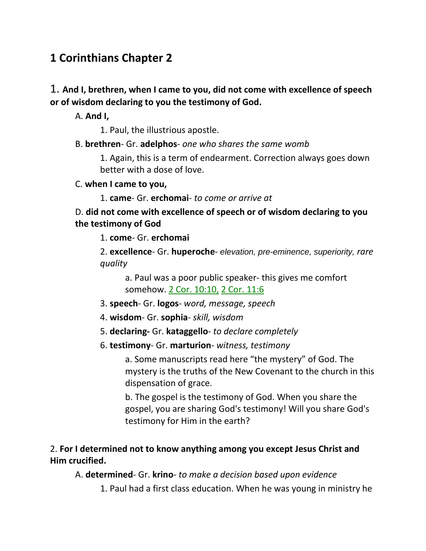# **1 Corinthians Chapter 2**

1. **And I, brethren, when I came to you, did not come with excellence of speech or of wisdom declaring to you the testimony of God.**

A. **And I,**

1. Paul, the illustrious apostle.

### B. **brethren**- Gr. **adelphos**- *one who shares the same womb*

1. Again, this is a term of endearment. Correction always goes down better with a dose of love.

#### C. **when I came to you,**

1. **came**- Gr. **erchomai**- *to come or arrive at*

### D. **did not come with excellence of speech or of wisdom declaring to you the testimony of God**

1. **come**- Gr. **erchomai**

2. **excellence**- Gr. **huperoche**- *elevation, pre-eminence, superiority, rare quality*

a. Paul was a poor public speaker- this gives me comfort somehow. 2 Cor. 10:10, 2 Cor. 11:6

- 3. **speech** Gr. **logos** *word, message, speech*
- 4. **wisdom** Gr. **sophia** *skill, wisdom*
- 5. **declaring-** Gr. **kataggello** *to declare completely*
- 6. **testimony** Gr. **marturion** *witness, testimony*

a. Some manuscripts read here "the mystery" of God. The mystery is the truths of the New Covenant to the church in this dispensation of grace.

b. The gospel is the testimony of God. When you share the gospel, you are sharing God's testimony! Will you share God's testimony for Him in the earth?

### 2. **For I determined not to know anything among you except Jesus Christ and Him crucified.**

A. **determined**- Gr. **krino**- *to make a decision based upon evidence*

1. Paul had a first class education. When he was young in ministry he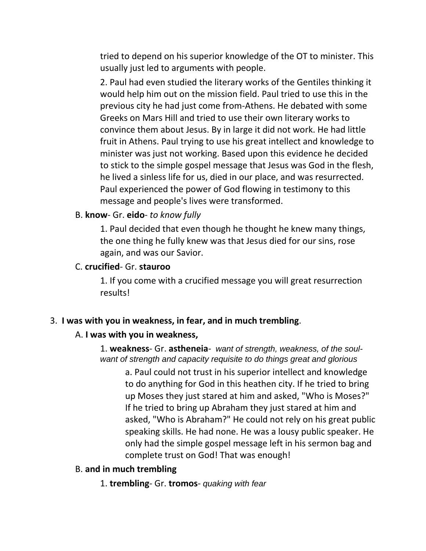tried to depend on his superior knowledge of the OT to minister. This usually just led to arguments with people.

2. Paul had even studied the literary works of the Gentiles thinking it would help him out on the mission field. Paul tried to use this in the previous city he had just come from-Athens. He debated with some Greeks on Mars Hill and tried to use their own literary works to convince them about Jesus. By in large it did not work. He had little fruit in Athens. Paul trying to use his great intellect and knowledge to minister was just not working. Based upon this evidence he decided to stick to the simple gospel message that Jesus was God in the flesh, he lived a sinless life for us, died in our place, and was resurrected. Paul experienced the power of God flowing in testimony to this message and people's lives were transformed.

#### B. **know**- Gr. **eido**- *to know fully*

1. Paul decided that even though he thought he knew many things, the one thing he fully knew was that Jesus died for our sins, rose again, and was our Savior.

#### C. **crucified**- Gr. **stauroo**

1. If you come with a crucified message you will great resurrection results!

#### 3. **I was with you in weakness, in fear, and in much trembling**.

#### A. **I was with you in weakness,**

1. **weakness**- Gr. **astheneia**- *want of strength, weakness, of the soulwant of strength and capacity requisite to do things great and glorious*

a. Paul could not trust in his superior intellect and knowledge to do anything for God in this heathen city. If he tried to bring up Moses they just stared at him and asked, "Who is Moses?" If he tried to bring up Abraham they just stared at him and asked, "Who is Abraham?" He could not rely on his great public speaking skills. He had none. He was a lousy public speaker. He only had the simple gospel message left in his sermon bag and complete trust on God! That was enough!

#### B. **and in much trembling**

1. **trembling**- Gr. **tromos**- *quaking with fear*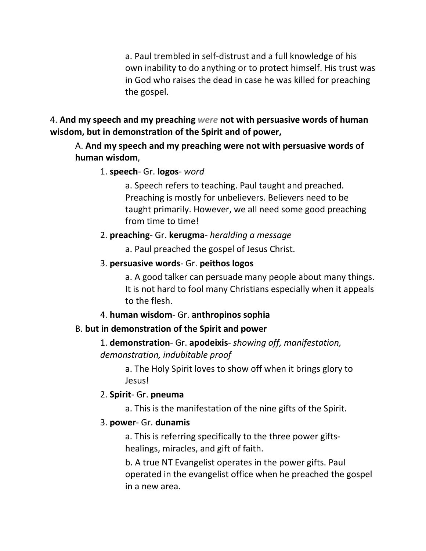a. Paul trembled in self-distrust and a full knowledge of his own inability to do anything or to protect himself. His trust was in God who raises the dead in case he was killed for preaching the gospel.

### 4. **And my speech and my preaching** *were* **not with persuasive words of human wisdom, but in demonstration of the Spirit and of power,**

### A. **And my speech and my preaching were not with persuasive words of human wisdom**,

### 1. **speech**- Gr. **logos**- *word*

a. Speech refers to teaching. Paul taught and preached. Preaching is mostly for unbelievers. Believers need to be taught primarily. However, we all need some good preaching from time to time!

## 2. **preaching**- Gr. **kerugma**- *heralding a message*

a. Paul preached the gospel of Jesus Christ.

## 3. **persuasive words**- Gr. **peithos logos**

a. A good talker can persuade many people about many things. It is not hard to fool many Christians especially when it appeals to the flesh.

4. **human wisdom**- Gr. **anthropinos sophia**

## B. **but in demonstration of the Spirit and power**

1. **demonstration**- Gr. **apodeixis**- *showing off, manifestation, demonstration, indubitable proof*

> a. The Holy Spirit loves to show off when it brings glory to Jesus!

### 2. **Spirit**- Gr. **pneuma**

a. This is the manifestation of the nine gifts of the Spirit.

### 3. **power**- Gr. **dunamis**

a. This is referring specifically to the three power giftshealings, miracles, and gift of faith.

b. A true NT Evangelist operates in the power gifts. Paul operated in the evangelist office when he preached the gospel in a new area.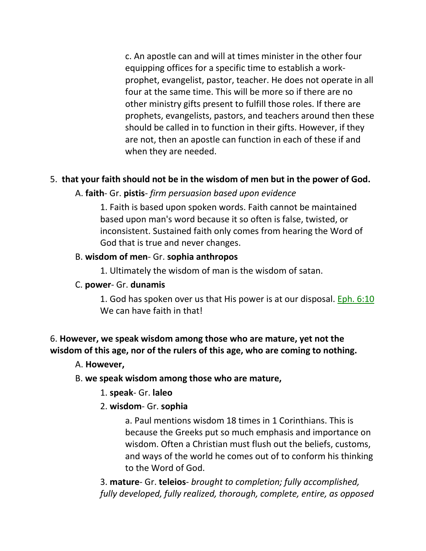c. An apostle can and will at times minister in the other four equipping offices for a specific time to establish a workprophet, evangelist, pastor, teacher. He does not operate in all four at the same time. This will be more so if there are no other ministry gifts present to fulfill those roles. If there are prophets, evangelists, pastors, and teachers around then these should be called in to function in their gifts. However, if they are not, then an apostle can function in each of these if and when they are needed.

### 5. **that your faith should not be in the wisdom of men but in the power of God.**

#### A. **faith**- Gr. **pistis**- *firm persuasion based upon evidence*

1. Faith is based upon spoken words. Faith cannot be maintained based upon man's word because it so often is false, twisted, or inconsistent. Sustained faith only comes from hearing the Word of God that is true and never changes.

#### B. **wisdom of men**- Gr. **sophia anthropos**

1. Ultimately the wisdom of man is the wisdom of satan.

#### C. **power**- Gr. **dunamis**

1. God has spoken over us that His power is at our disposal. Eph. 6:10 We can have faith in that!

### 6. **However, we speak wisdom among those who are mature, yet not the wisdom of this age, nor of the rulers of this age, who are coming to nothing.**

#### A. **However,**

#### B. **we speak wisdom among those who are mature,**

1. **speak**- Gr. **laleo**

#### 2. **wisdom**- Gr. **sophia**

a. Paul mentions wisdom 18 times in 1 Corinthians. This is because the Greeks put so much emphasis and importance on wisdom. Often a Christian must flush out the beliefs, customs, and ways of the world he comes out of to conform his thinking to the Word of God.

3. **mature**- Gr. **teleios**- *brought to completion; fully accomplished, fully developed, fully realized, thorough, complete, entire, as opposed*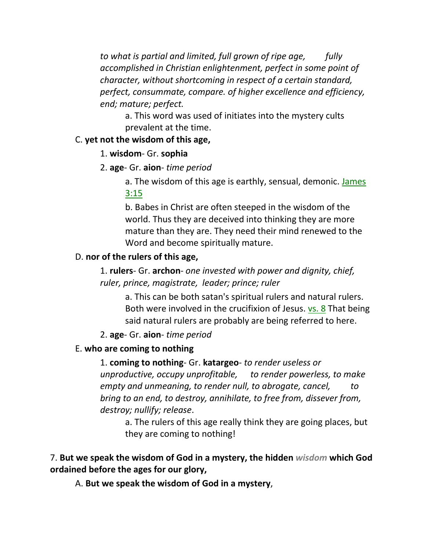*to what is partial and limited, full grown of ripe age, fully accomplished in Christian enlightenment, perfect in some point of character, without shortcoming in respect of a certain standard, perfect, consummate, compare. of higher excellence and efficiency, end; mature; perfect.*

a. This word was used of initiates into the mystery cults prevalent at the time.

#### C. **yet not the wisdom of this age,**

#### 1. **wisdom**- Gr. **sophia**

2. **age**- Gr. **aion**- *time period*

a. The wisdom of this age is earthly, sensual, demonic. James 3:15

b. Babes in Christ are often steeped in the wisdom of the world. Thus they are deceived into thinking they are more mature than they are. They need their mind renewed to the Word and become spiritually mature.

### D. **nor of the rulers of this age,**

1. **rulers**- Gr. **archon**- *one invested with power and dignity, chief, ruler, prince, magistrate, leader; prince; ruler*

a. This can be both satan's spiritual rulers and natural rulers. Both were involved in the crucifixion of Jesus. vs. 8 That being said natural rulers are probably are being referred to here.

### 2. **age**- Gr. **aion**- *time period*

## E. **who are coming to nothing**

1. **coming to nothing**- Gr. **katargeo**- *to render useless or unproductive, occupy unprofitable, to render powerless, to make empty and unmeaning, to render null, to abrogate, cancel, to bring to an end, to destroy, annihilate, to free from, dissever from, destroy; nullify; release*.

a. The rulers of this age really think they are going places, but they are coming to nothing!

## 7. **But we speak the wisdom of God in a mystery, the hidden** *wisdom* **which God ordained before the ages for our glory,**

A. **But we speak the wisdom of God in a mystery**,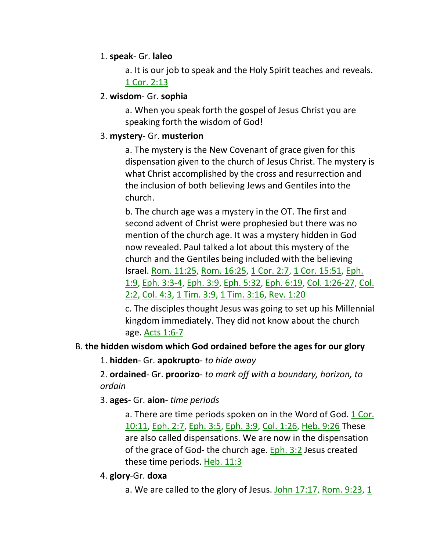### 1. **speak**- Gr. **laleo**

a. It is our job to speak and the Holy Spirit teaches and reveals. 1 Cor. 2:13

### 2. **wisdom**- Gr. **sophia**

a. When you speak forth the gospel of Jesus Christ you are speaking forth the wisdom of God!

### 3. **mystery**- Gr. **musterion**

a. The mystery is the New Covenant of grace given for this dispensation given to the church of Jesus Christ. The mystery is what Christ accomplished by the cross and resurrection and the inclusion of both believing Jews and Gentiles into the church.

b. The church age was a mystery in the OT. The first and second advent of Christ were prophesied but there was no mention of the church age. It was a mystery hidden in God now revealed. Paul talked a lot about this mystery of the church and the Gentiles being included with the believing Israel. Rom. 11:25, Rom. 16:25, 1 Cor. 2:7, 1 Cor. 15:51, Eph. 1:9, Eph. 3:3-4, Eph. 3:9, Eph. 5:32, Eph. 6:19, Col. 1:26-27, Col. 2:2, Col. 4:3, 1 Tim. 3:9, 1 Tim. 3:16, Rev. 1:20

c. The disciples thought Jesus was going to set up his Millennial kingdom immediately. They did not know about the church age. Acts 1:6-7

### B. **the hidden wisdom which God ordained before the ages for our glory**

1. **hidden**- Gr. **apokrupto**- *to hide away*

2. **ordained**- Gr. **proorizo**- *to mark off with a boundary, horizon, to ordain*

3. **ages**- Gr. **aion**- *time periods*

a. There are time periods spoken on in the Word of God. 1 Cor. 10:11, Eph. 2:7, Eph. 3:5, Eph. 3:9, Col. 1:26, Heb. 9:26 These are also called dispensations. We are now in the dispensation of the grace of God- the church age. Eph. 3:2 Jesus created these time periods. Heb. 11:3

### 4. **glory**-Gr. **doxa**

a. We are called to the glory of Jesus. John 17:17, Rom. 9:23, 1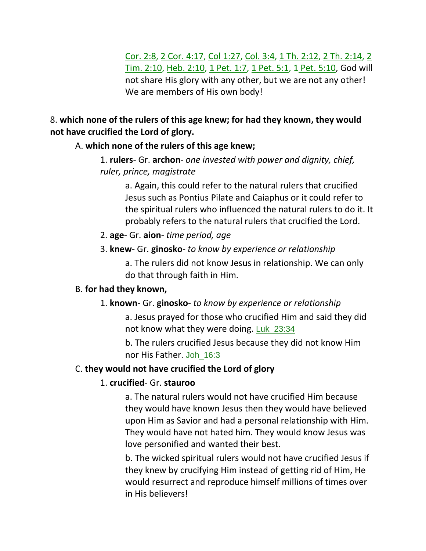Cor. 2:8, 2 Cor. 4:17, Col 1:27, Col. 3:4, 1 Th. 2:12, 2 Th. 2:14, 2 Tim. 2:10, Heb. 2:10, 1 Pet. 1:7, 1 Pet. 5:1, 1 Pet. 5:10, God will not share His glory with any other, but we are not any other! We are members of His own body!

### 8. **which none of the rulers of this age knew; for had they known, they would not have crucified the Lord of glory.**

#### A. **which none of the rulers of this age knew;**

1. **rulers**- Gr. **archon**- *one invested with power and dignity, chief, ruler, prince, magistrate*

a. Again, this could refer to the natural rulers that crucified Jesus such as Pontius Pilate and Caiaphus or it could refer to the spiritual rulers who influenced the natural rulers to do it. It probably refers to the natural rulers that crucified the Lord.

- 2. **age** Gr. **aion** *time period, age*
- 3. **knew** Gr. **ginosko** *to know by experience or relationship*

a. The rulers did not know Jesus in relationship. We can only do that through faith in Him.

#### B. **for had they known,**

#### 1. **known**- Gr. **ginosko**- *to know by experience or relationship*

a. Jesus prayed for those who crucified Him and said they did not know what they were doing. Luk\_23:34

b. The rulers crucified Jesus because they did not know Him nor His Father. Joh\_16:3

### C. **they would not have crucified the Lord of glory**

### 1. **crucified**- Gr. **stauroo**

a. The natural rulers would not have crucified Him because they would have known Jesus then they would have believed upon Him as Savior and had a personal relationship with Him. They would have not hated him. They would know Jesus was love personified and wanted their best.

b. The wicked spiritual rulers would not have crucified Jesus if they knew by crucifying Him instead of getting rid of Him, He would resurrect and reproduce himself millions of times over in His believers!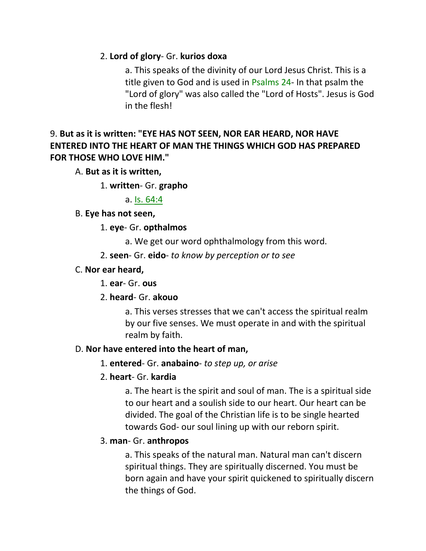### 2. **Lord of glory**- Gr. **kurios doxa**

a. This speaks of the divinity of our Lord Jesus Christ. This is a title given to God and is used in Psalms 24- In that psalm the "Lord of glory" was also called the "Lord of Hosts". Jesus is God in the flesh!

## 9. **But as it is written: "EYE HAS NOT SEEN, NOR EAR HEARD, NOR HAVE ENTERED INTO THE HEART OF MAN THE THINGS WHICH GOD HAS PREPARED FOR THOSE WHO LOVE HIM."**

### A. **But as it is written,**

1. **written**- Gr. **grapho**

a. Is. 64:4

### B. **Eye has not seen,**

1. **eye**- Gr. **opthalmos**

- a. We get our word ophthalmology from this word.
- 2. **seen** Gr. **eido** *to know by perception or to see*

### C. **Nor ear heard,**

1. **ear**- Gr. **ous**

### 2. **heard**- Gr. **akouo**

a. This verses stresses that we can't access the spiritual realm by our five senses. We must operate in and with the spiritual realm by faith.

### D. **Nor have entered into the heart of man,**

### 1. **entered**- Gr. **anabaino**- *to step up, or arise*

### 2. **heart**- Gr. **kardia**

a. The heart is the spirit and soul of man. The is a spiritual side to our heart and a soulish side to our heart. Our heart can be divided. The goal of the Christian life is to be single hearted towards God- our soul lining up with our reborn spirit.

### 3. **man**- Gr. **anthropos**

a. This speaks of the natural man. Natural man can't discern spiritual things. They are spiritually discerned. You must be born again and have your spirit quickened to spiritually discern the things of God.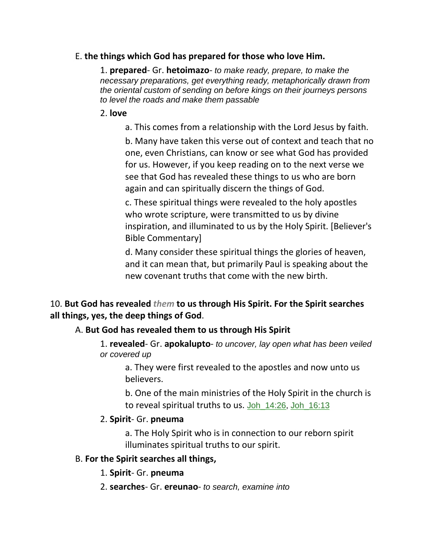#### E. **the things which God has prepared for those who love Him.**

1. **prepared**- Gr. **hetoimazo**- *to make ready, prepare, to make the necessary preparations, get everything ready, metaphorically drawn from the oriental custom of sending on before kings on their journeys persons to level the roads and make them passable*

#### 2. **love**

a. This comes from a relationship with the Lord Jesus by faith.

b. Many have taken this verse out of context and teach that no one, even Christians, can know or see what God has provided for us. However, if you keep reading on to the next verse we see that God has revealed these things to us who are born again and can spiritually discern the things of God.

c. These spiritual things were revealed to the holy apostles who wrote scripture, were transmitted to us by divine inspiration, and illuminated to us by the Holy Spirit. [Believer's Bible Commentary]

d. Many consider these spiritual things the glories of heaven, and it can mean that, but primarily Paul is speaking about the new covenant truths that come with the new birth.

## 10. **But God has revealed** *them* **to us through His Spirit. For the Spirit searches all things, yes, the deep things of God**.

#### A. **But God has revealed them to us through His Spirit**

1. **revealed**- Gr. **apokalupto**- *to uncover, lay open what has been veiled or covered up*

a. They were first revealed to the apostles and now unto us believers.

b. One of the main ministries of the Holy Spirit in the church is to reveal spiritual truths to us. Joh\_14:26, Joh\_16:13

#### 2. **Spirit**- Gr. **pneuma**

a. The Holy Spirit who is in connection to our reborn spirit illuminates spiritual truths to our spirit.

#### B. **For the Spirit searches all things,**

1. **Spirit**- Gr. **pneuma**

2. **searches**- Gr. **ereunao**- *to search, examine into*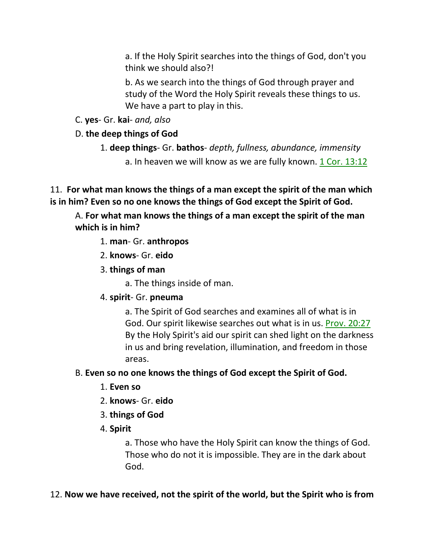a. If the Holy Spirit searches into the things of God, don't you think we should also?!

b. As we search into the things of God through prayer and study of the Word the Holy Spirit reveals these things to us. We have a part to play in this.

C. **yes**- Gr. **kai**- *and, also*

D. **the deep things of God**

- 1. **deep things** Gr. **bathos** *depth, fullness, abundance, immensity*
	- a. In heaven we will know as we are fully known. 1 Cor. 13:12

11. **For what man knows the things of a man except the spirit of the man which is in him? Even so no one knows the things of God except the Spirit of God.** 

A. **For what man knows the things of a man except the spirit of the man which is in him?**

1. **man**- Gr. **anthropos**

- 2. **knows** Gr. **eido**
- 3. **things of man**

a. The things inside of man.

## 4. **spirit**- Gr. **pneuma**

a. The Spirit of God searches and examines all of what is in God. Our spirit likewise searches out what is in us. Prov. 20:27 By the Holy Spirit's aid our spirit can shed light on the darkness in us and bring revelation, illumination, and freedom in those areas.

## B. **Even so no one knows the things of God except the Spirit of God.**

- 1. **Even so**
- 2. **knows** Gr. **eido**
- 3. **things of God**
- 4. **Spirit**

a. Those who have the Holy Spirit can know the things of God. Those who do not it is impossible. They are in the dark about God.

## 12. **Now we have received, not the spirit of the world, but the Spirit who is from**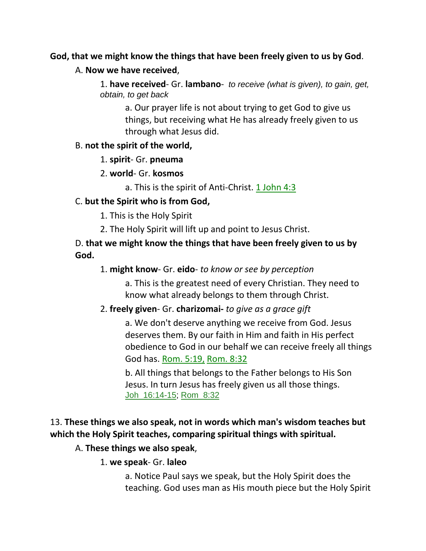#### **God, that we might know the things that have been freely given to us by God**.

#### A. **Now we have received**,

1. **have received**- Gr. **lambano**- *to receive (what is given), to gain, get, obtain, to get back*

a. Our prayer life is not about trying to get God to give us things, but receiving what He has already freely given to us through what Jesus did.

#### B. **not the spirit of the world,**

1. **spirit**- Gr. **pneuma**

2. **world**- Gr. **kosmos**

a. This is the spirit of Anti-Christ. 1 John 4:3

### C. **but the Spirit who is from God,**

1. This is the Holy Spirit

2. The Holy Spirit will lift up and point to Jesus Christ.

### D. **that we might know the things that have been freely given to us by God.**

### 1. **might know**- Gr. **eido**- *to know or see by perception*

a. This is the greatest need of every Christian. They need to know what already belongs to them through Christ.

#### 2. **freely given**- Gr. **charizomai-** *to give as a grace gift*

a. We don't deserve anything we receive from God. Jesus deserves them. By our faith in Him and faith in His perfect obedience to God in our behalf we can receive freely all things God has. Rom. 5:19, Rom. 8:32

b. All things that belongs to the Father belongs to His Son Jesus. In turn Jesus has freely given us all those things. Joh\_16:14-15; Rom\_8:32

## 13. **These things we also speak, not in words which man's wisdom teaches but which the Holy Spirit teaches, comparing spiritual things with spiritual.**

#### A. **These things we also speak**,

1. **we speak**- Gr. **laleo**

a. Notice Paul says we speak, but the Holy Spirit does the teaching. God uses man as His mouth piece but the Holy Spirit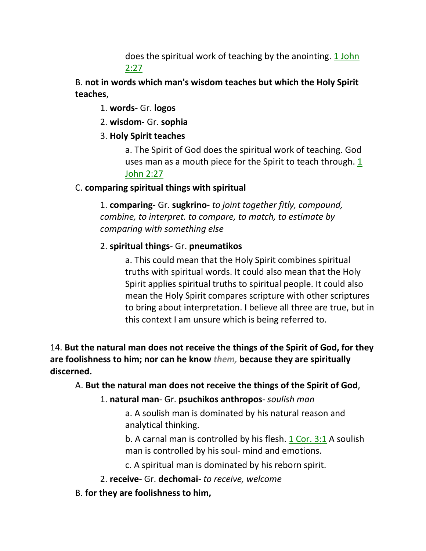does the spiritual work of teaching by the anointing. 1 John 2:27

B. **not in words which man's wisdom teaches but which the Holy Spirit teaches**,

1. **words**- Gr. **logos**

2. **wisdom**- Gr. **sophia**

3. **Holy Spirit teaches**

a. The Spirit of God does the spiritual work of teaching. God uses man as a mouth piece for the Spirit to teach through. 1 John 2:27

## C. **comparing spiritual things with spiritual**

1. **comparing**- Gr. **sugkrino**- *to joint together fitly, compound, combine, to interpret. to compare, to match, to estimate by comparing with something else*

## 2. **spiritual things**- Gr. **pneumatikos**

a. This could mean that the Holy Spirit combines spiritual truths with spiritual words. It could also mean that the Holy Spirit applies spiritual truths to spiritual people. It could also mean the Holy Spirit compares scripture with other scriptures to bring about interpretation. I believe all three are true, but in this context I am unsure which is being referred to.

14. **But the natural man does not receive the things of the Spirit of God, for they are foolishness to him; nor can he know** *them,* **because they are spiritually discerned.** 

## A. **But the natural man does not receive the things of the Spirit of God**,

## 1. **natural man**- Gr. **psuchikos anthropos**- *soulish man*

a. A soulish man is dominated by his natural reason and analytical thinking.

b. A carnal man is controlled by his flesh. 1 Cor. 3:1 A soulish man is controlled by his soul- mind and emotions.

c. A spiritual man is dominated by his reborn spirit.

2. **receive**- Gr. **dechomai**- *to receive, welcome*

## B. **for they are foolishness to him,**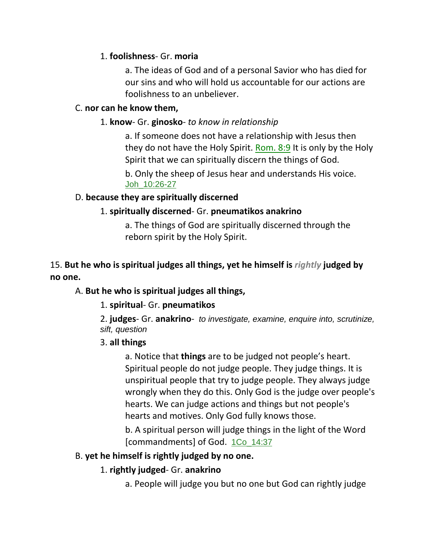### 1. **foolishness**- Gr. **moria**

a. The ideas of God and of a personal Savior who has died for our sins and who will hold us accountable for our actions are foolishness to an unbeliever.

#### C. **nor can he know them,**

#### 1. **know**- Gr. **ginosko**- *to know in relationship*

a. If someone does not have a relationship with Jesus then they do not have the Holy Spirit. Rom. 8:9 It is only by the Holy Spirit that we can spiritually discern the things of God.

b. Only the sheep of Jesus hear and understands His voice. Joh\_10:26-27

#### D. **because they are spiritually discerned**

#### 1. **spiritually discerned**- Gr. **pneumatikos anakrino**

a. The things of God are spiritually discerned through the reborn spirit by the Holy Spirit.

### 15. **But he who is spiritual judges all things, yet he himself is** *rightly* **judged by no one.**

#### A. **But he who is spiritual judges all things,**

#### 1. **spiritual**- Gr. **pneumatikos**

2. **judges**- Gr. **anakrino**- *to investigate, examine, enquire into, scrutinize, sift, question*

#### 3. **all things**

a. Notice that **things** are to be judged not people's heart. Spiritual people do not judge people. They judge things. It is unspiritual people that try to judge people. They always judge wrongly when they do this. Only God is the judge over people's hearts. We can judge actions and things but not people's hearts and motives. Only God fully knows those.

b. A spiritual person will judge things in the light of the Word [commandments] of God. 1Co\_14:37

#### B. **yet he himself is rightly judged by no one.**

#### 1. **rightly judged**- Gr. **anakrino**

a. People will judge you but no one but God can rightly judge